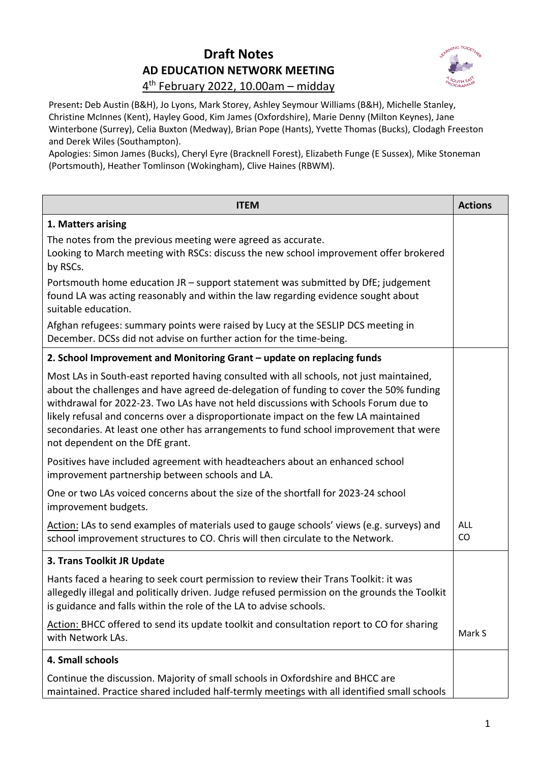## **Draft Notes AD EDUCATION NETWORK MEETING**



## 4th February 2022, 10.00am – midday

Present**:** Deb Austin (B&H), Jo Lyons, Mark Storey, Ashley Seymour Williams (B&H), Michelle Stanley, Christine McInnes (Kent), Hayley Good, Kim James (Oxfordshire), Marie Denny (Milton Keynes), Jane Winterbone (Surrey), Celia Buxton (Medway), Brian Pope (Hants), Yvette Thomas (Bucks), Clodagh Freeston and Derek Wiles (Southampton).

Apologies: Simon James (Bucks), Cheryl Eyre (Bracknell Forest), Elizabeth Funge (E Sussex), Mike Stoneman (Portsmouth), Heather Tomlinson (Wokingham), Clive Haines (RBWM).

| <b>ITEM</b>                                                                                                                                                                                                                                                                                                                                                                                                                                                                                 | <b>Actions</b>   |
|---------------------------------------------------------------------------------------------------------------------------------------------------------------------------------------------------------------------------------------------------------------------------------------------------------------------------------------------------------------------------------------------------------------------------------------------------------------------------------------------|------------------|
| 1. Matters arising                                                                                                                                                                                                                                                                                                                                                                                                                                                                          |                  |
| The notes from the previous meeting were agreed as accurate.<br>Looking to March meeting with RSCs: discuss the new school improvement offer brokered<br>by RSCs.                                                                                                                                                                                                                                                                                                                           |                  |
| Portsmouth home education JR - support statement was submitted by DfE; judgement<br>found LA was acting reasonably and within the law regarding evidence sought about<br>suitable education.                                                                                                                                                                                                                                                                                                |                  |
| Afghan refugees: summary points were raised by Lucy at the SESLIP DCS meeting in<br>December. DCSs did not advise on further action for the time-being.                                                                                                                                                                                                                                                                                                                                     |                  |
| 2. School Improvement and Monitoring Grant - update on replacing funds                                                                                                                                                                                                                                                                                                                                                                                                                      |                  |
| Most LAs in South-east reported having consulted with all schools, not just maintained,<br>about the challenges and have agreed de-delegation of funding to cover the 50% funding<br>withdrawal for 2022-23. Two LAs have not held discussions with Schools Forum due to<br>likely refusal and concerns over a disproportionate impact on the few LA maintained<br>secondaries. At least one other has arrangements to fund school improvement that were<br>not dependent on the DfE grant. |                  |
| Positives have included agreement with headteachers about an enhanced school<br>improvement partnership between schools and LA.                                                                                                                                                                                                                                                                                                                                                             |                  |
| One or two LAs voiced concerns about the size of the shortfall for 2023-24 school<br>improvement budgets.                                                                                                                                                                                                                                                                                                                                                                                   |                  |
| Action: LAs to send examples of materials used to gauge schools' views (e.g. surveys) and<br>school improvement structures to CO. Chris will then circulate to the Network.                                                                                                                                                                                                                                                                                                                 | <b>ALL</b><br>CO |
| 3. Trans Toolkit JR Update                                                                                                                                                                                                                                                                                                                                                                                                                                                                  |                  |
| Hants faced a hearing to seek court permission to review their Trans Toolkit: it was<br>allegedly illegal and politically driven. Judge refused permission on the grounds the Toolkit<br>is guidance and falls within the role of the LA to advise schools.                                                                                                                                                                                                                                 |                  |
| Action: BHCC offered to send its update toolkit and consultation report to CO for sharing<br>with Network LAs.                                                                                                                                                                                                                                                                                                                                                                              | Mark S           |
| 4. Small schools                                                                                                                                                                                                                                                                                                                                                                                                                                                                            |                  |
| Continue the discussion. Majority of small schools in Oxfordshire and BHCC are<br>maintained. Practice shared included half-termly meetings with all identified small schools                                                                                                                                                                                                                                                                                                               |                  |